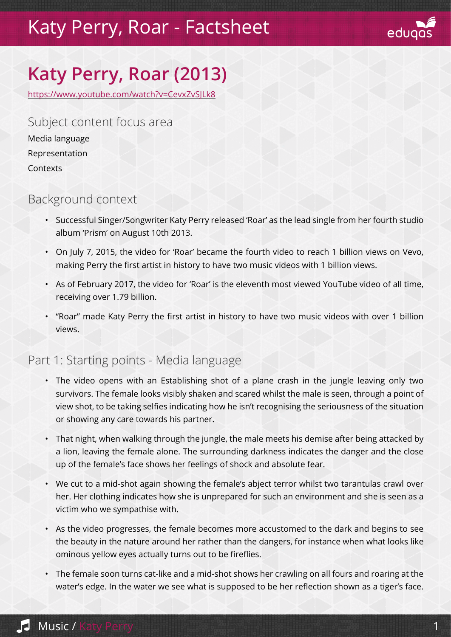## Katy Perry, Roar - Factsheet



# **Katy Perry, Roar (2013)**

https://www.youtube.com/watch?v=CevxZvSJLk8

Subject content focus area Media language Representation **Contexts** 

#### Background context

- Successful Singer/Songwriter Katy Perry released 'Roar' as the lead single from her fourth studio album 'Prism' on August 10th 2013.
- On July 7, 2015, the video for 'Roar' became the fourth video to reach 1 billion views on Vevo, making Perry the first artist in history to have two music videos with 1 billion views.
- As of February 2017, the video for 'Roar' is the eleventh most viewed YouTube video of all time, receiving over 1.79 billion.
- "Roar" made Katy Perry the first artist in history to have two music videos with over 1 billion views.

#### Part 1: Starting points - Media language

- The video opens with an Establishing shot of a plane crash in the jungle leaving only two survivors. The female looks visibly shaken and scared whilst the male is seen, through a point of view shot, to be taking selfies indicating how he isn't recognising the seriousness of the situation or showing any care towards his partner.
- That night, when walking through the jungle, the male meets his demise after being attacked by a lion, leaving the female alone. The surrounding darkness indicates the danger and the close up of the female's face shows her feelings of shock and absolute fear.
- We cut to a mid-shot again showing the female's abject terror whilst two tarantulas crawl over her. Her clothing indicates how she is unprepared for such an environment and she is seen as a victim who we sympathise with.
- As the video progresses, the female becomes more accustomed to the dark and begins to see the beauty in the nature around her rather than the dangers, for instance when what looks like ominous yellow eyes actually turns out to be fireflies.
- The female soon turns cat-like and a mid-shot shows her crawling on all fours and roaring at the water's edge. In the water we see what is supposed to be her reflection shown as a tiger's face.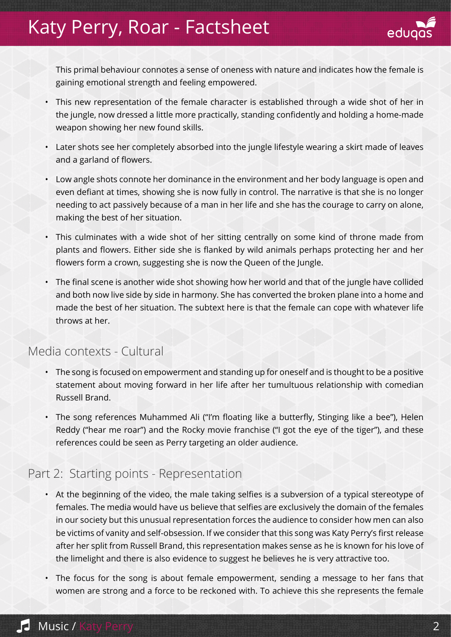### Katy Perry, Roar - Factsheet



This primal behaviour connotes a sense of oneness with nature and indicates how the female is gaining emotional strength and feeling empowered.

- This new representation of the female character is established through a wide shot of her in the jungle, now dressed a little more practically, standing confidently and holding a home-made weapon showing her new found skills.
- Later shots see her completely absorbed into the jungle lifestyle wearing a skirt made of leaves and a garland of flowers.
- Low angle shots connote her dominance in the environment and her body language is open and even defiant at times, showing she is now fully in control. The narrative is that she is no longer needing to act passively because of a man in her life and she has the courage to carry on alone, making the best of her situation.
- This culminates with a wide shot of her sitting centrally on some kind of throne made from plants and flowers. Either side she is flanked by wild animals perhaps protecting her and her flowers form a crown, suggesting she is now the Queen of the Jungle.
- The final scene is another wide shot showing how her world and that of the jungle have collided and both now live side by side in harmony. She has converted the broken plane into a home and made the best of her situation. The subtext here is that the female can cope with whatever life throws at her.

### Media contexts - Cultural

- The song is focused on empowerment and standing up for oneself and is thought to be a positive statement about moving forward in her life after her tumultuous relationship with comedian Russell Brand.
- The song references Muhammed Ali ("I'm floating like a butterfly, Stinging like a bee"), Helen Reddy ("hear me roar") and the Rocky movie franchise ("I got the eye of the tiger"), and these references could be seen as Perry targeting an older audience.

### Part 2: Starting points - Representation

- At the beginning of the video, the male taking selfies is a subversion of a typical stereotype of females. The media would have us believe that selfies are exclusively the domain of the females in our society but this unusual representation forces the audience to consider how men can also be victims of vanity and self-obsession. If we consider that this song was Katy Perry's first release after her split from Russell Brand, this representation makes sense as he is known for his love of the limelight and there is also evidence to suggest he believes he is very attractive too.
- The focus for the song is about female empowerment, sending a message to her fans that women are strong and a force to be reckoned with. To achieve this she represents the female